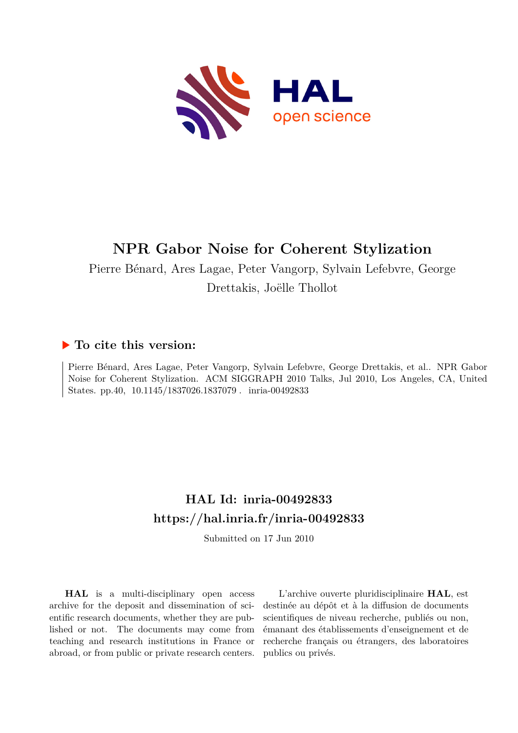

# **NPR Gabor Noise for Coherent Stylization**

Pierre Bénard, Ares Lagae, Peter Vangorp, Sylvain Lefebvre, George Drettakis, Joëlle Thollot

### **To cite this version:**

Pierre Bénard, Ares Lagae, Peter Vangorp, Sylvain Lefebvre, George Drettakis, et al.. NPR Gabor Noise for Coherent Stylization. ACM SIGGRAPH 2010 Talks, Jul 2010, Los Angeles, CA, United States. pp.40,  $10.1145/1837026.1837079$ . inria-00492833

## **HAL Id: inria-00492833 <https://hal.inria.fr/inria-00492833>**

Submitted on 17 Jun 2010

**HAL** is a multi-disciplinary open access archive for the deposit and dissemination of scientific research documents, whether they are published or not. The documents may come from teaching and research institutions in France or abroad, or from public or private research centers.

L'archive ouverte pluridisciplinaire **HAL**, est destinée au dépôt et à la diffusion de documents scientifiques de niveau recherche, publiés ou non, émanant des établissements d'enseignement et de recherche français ou étrangers, des laboratoires publics ou privés.